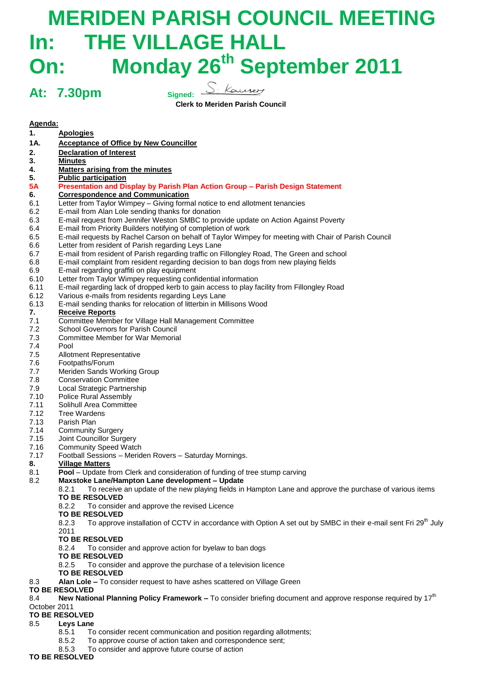# **MERIDEN PARISH COUNCIL MEETING In: THE VILLAGE HALL On: Monday 26 th September 2011**

**At: 7.30pm Signed:**

**Clerk to Meriden Parish Council**

# **Agenda:**

| 1.                    | <b>Apologies</b>                                                                                                                            |
|-----------------------|---------------------------------------------------------------------------------------------------------------------------------------------|
| 1A.                   | <b>Acceptance of Office by New Councillor</b>                                                                                               |
| 2.                    | <b>Declaration of Interest</b>                                                                                                              |
| 3.                    | <b>Minutes</b>                                                                                                                              |
| 4.                    | <b>Matters arising from the minutes</b>                                                                                                     |
| 5.                    | <b>Public participation</b>                                                                                                                 |
| <b>5A</b>             | Presentation and Display by Parish Plan Action Group - Parish Design Statement                                                              |
| 6.                    | <b>Correspondence and Communication</b>                                                                                                     |
| 6.1                   | Letter from Taylor Wimpey - Giving formal notice to end allotment tenancies                                                                 |
| 6.2                   | E-mail from Alan Lole sending thanks for donation                                                                                           |
| 6.3                   | E-mail request from Jennifer Weston SMBC to provide update on Action Against Poverty                                                        |
| 6.4                   | E-mail from Priority Builders notifying of completion of work                                                                               |
| 6.5                   | E-mail requests by Rachel Carson on behalf of Taylor Wimpey for meeting with Chair of Parish Council                                        |
| 6.6                   | Letter from resident of Parish regarding Leys Lane                                                                                          |
| 6.7                   | E-mail from resident of Parish regarding traffic on Fillongley Road, The Green and school                                                   |
| 6.8                   | E-mail complaint from resident regarding decision to ban dogs from new playing fields                                                       |
| 6.9                   | E-mail regarding graffiti on play equipment                                                                                                 |
| 6.10                  | Letter from Taylor Wimpey requesting confidential information                                                                               |
| 6.11                  | E-mail regarding lack of dropped kerb to gain access to play facility from Fillongley Road                                                  |
| 6.12                  | Various e-mails from residents regarding Leys Lane<br>E-mail sending thanks for relocation of litterbin in Millisons Wood                   |
| 6.13<br>7.            | <b>Receive Reports</b>                                                                                                                      |
| 7.1                   | Committee Member for Village Hall Management Committee                                                                                      |
| 7.2                   | School Governors for Parish Council                                                                                                         |
| 7.3                   | <b>Committee Member for War Memorial</b>                                                                                                    |
| 7.4                   | Pool                                                                                                                                        |
| 7.5                   | Allotment Representative                                                                                                                    |
| 7.6                   | Footpaths/Forum                                                                                                                             |
| 7.7                   | Meriden Sands Working Group                                                                                                                 |
| 7.8                   | <b>Conservation Committee</b>                                                                                                               |
| 7.9                   | Local Strategic Partnership                                                                                                                 |
| 7.10                  | Police Rural Assembly                                                                                                                       |
| 7.11                  | Solihull Area Committee                                                                                                                     |
| 7.12                  | Tree Wardens                                                                                                                                |
| 7.13                  | Parish Plan                                                                                                                                 |
| 7.14                  | <b>Community Surgery</b>                                                                                                                    |
| 7.15                  | Joint Councillor Surgery                                                                                                                    |
| 7.16                  | <b>Community Speed Watch</b>                                                                                                                |
| 7.17                  | Football Sessions - Meriden Rovers - Saturday Mornings.                                                                                     |
| 8.                    | <b>Village Matters</b>                                                                                                                      |
| 8.1                   | Pool - Update from Clerk and consideration of funding of tree stump carving                                                                 |
| 8.2                   | Maxstoke Lane/Hampton Lane development - Update                                                                                             |
|                       | 8.2.1<br>To receive an update of the new playing fields in Hampton Lane and approve the purchase of various items                           |
|                       | <b>TO BE RESOLVED</b>                                                                                                                       |
|                       | 8.2.2<br>To consider and approve the revised Licence                                                                                        |
|                       | <b>TO BE RESOLVED</b>                                                                                                                       |
|                       | To approve installation of CCTV in accordance with Option A set out by SMBC in their e-mail sent Fri 29 <sup>th</sup> July<br>8.2.3<br>2011 |
|                       | <b>TO BE RESOLVED</b>                                                                                                                       |
|                       | To consider and approve action for byelaw to ban dogs<br>8.2.4                                                                              |
|                       | <b>TO BE RESOLVED</b>                                                                                                                       |
|                       | To consider and approve the purchase of a television licence<br>8.2.5                                                                       |
|                       | <b>TO BE RESOLVED</b>                                                                                                                       |
| 8.3                   | Alan Lole - To consider request to have ashes scattered on Village Green                                                                    |
| <b>TO BE RESOLVED</b> |                                                                                                                                             |
| 8.4                   | New National Planning Policy Framework - To consider briefing document and approve response required by $17th$                              |
| October 2011          |                                                                                                                                             |
| <b>TO BE RESOLVED</b> |                                                                                                                                             |
|                       |                                                                                                                                             |

- 8.5 **Leys Lane** 
	- 8.5.1 To consider recent communication and position regarding allotments;
	- 8.5.2 To approve course of action taken and correspondence sent;
	- 8.5.3 To consider and approve future course of action

**TO BE RESOLVED**